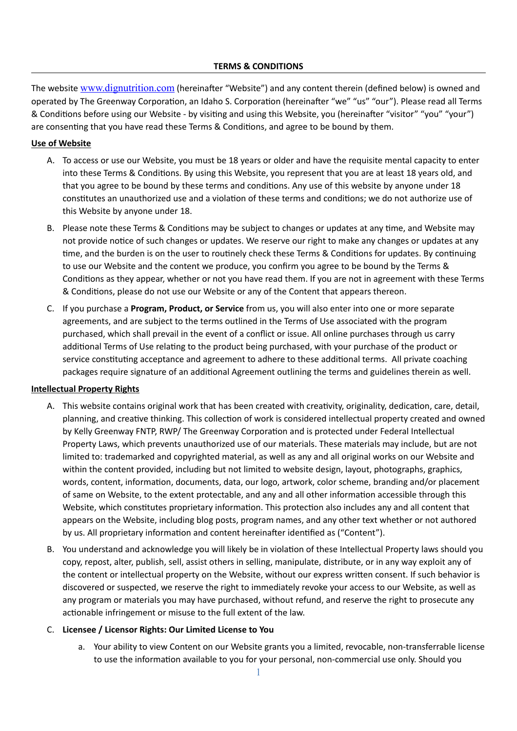# **TERMS & CONDITIONS**

The website [www.dignutrition.com](http://www.dignutrition.com) (hereinafter "Website") and any content therein (defined below) is owned and operated by The Greenway Corporation, an Idaho S. Corporation (hereinafter "we" "us" "our"). Please read all Terms & Conditions before using our Website - by visiting and using this Website, you (hereinafter "visitor" "you" "your") are consenting that you have read these Terms & Conditions, and agree to be bound by them.

# **Use of Website**

- A. To access or use our Website, you must be 18 years or older and have the requisite mental capacity to enter into these Terms & Conditions. By using this Website, you represent that you are at least 18 years old, and that you agree to be bound by these terms and conditions. Any use of this website by anyone under 18 constitutes an unauthorized use and a violation of these terms and conditions; we do not authorize use of this Website by anyone under 18.
- B. Please note these Terms & Conditions may be subject to changes or updates at any time, and Website may not provide notice of such changes or updates. We reserve our right to make any changes or updates at any time, and the burden is on the user to routinely check these Terms & Conditions for updates. By continuing to use our Website and the content we produce, you confirm you agree to be bound by the Terms & Conditions as they appear, whether or not you have read them. If you are not in agreement with these Terms & Conditions, please do not use our Website or any of the Content that appears thereon.
- C. If you purchase a **Program, Product, or Service** from us, you will also enter into one or more separate agreements, and are subject to the terms outlined in the Terms of Use associated with the program purchased, which shall prevail in the event of a conflict or issue. All online purchases through us carry additional Terms of Use relating to the product being purchased, with your purchase of the product or service constituting acceptance and agreement to adhere to these additional terms. All private coaching packages require signature of an additional Agreement outlining the terms and guidelines therein as well.

## **Intellectual Property Rights**

- A. This website contains original work that has been created with creativity, originality, dedication, care, detail, planning, and creative thinking. This collection of work is considered intellectual property created and owned by Kelly Greenway FNTP, RWP/ The Greenway Corporation and is protected under Federal Intellectual Property Laws, which prevents unauthorized use of our materials. These materials may include, but are not limited to: trademarked and copyrighted material, as well as any and all original works on our Website and within the content provided, including but not limited to website design, layout, photographs, graphics, words, content, information, documents, data, our logo, artwork, color scheme, branding and/or placement of same on Website, to the extent protectable, and any and all other information accessible through this Website, which constitutes proprietary information. This protection also includes any and all content that appears on the Website, including blog posts, program names, and any other text whether or not authored by us. All proprietary information and content hereinafter identified as ("Content").
- B. You understand and acknowledge you will likely be in violation of these Intellectual Property laws should you copy, repost, alter, publish, sell, assist others in selling, manipulate, distribute, or in any way exploit any of the content or intellectual property on the Website, without our express written consent. If such behavior is discovered or suspected, we reserve the right to immediately revoke your access to our Website, as well as any program or materials you may have purchased, without refund, and reserve the right to prosecute any actionable infringement or misuse to the full extent of the law.

## C. **Licensee / Licensor Rights: Our Limited License to You**

a. Your ability to view Content on our Website grants you a limited, revocable, non-transferrable license to use the information available to you for your personal, non-commercial use only. Should you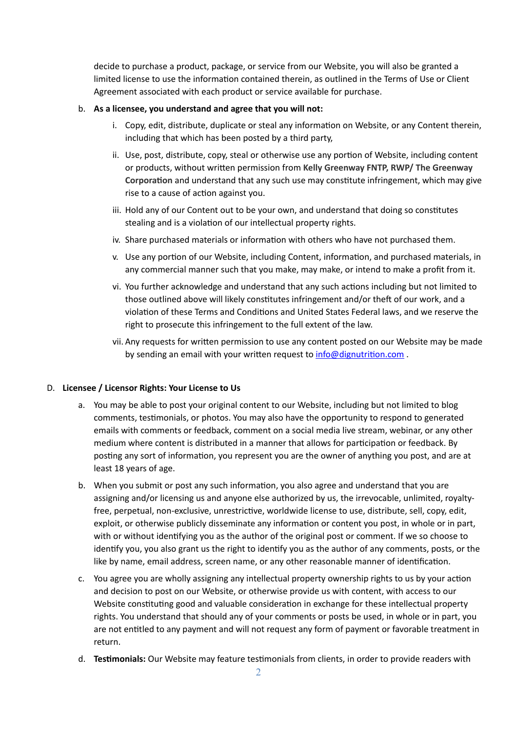decide to purchase a product, package, or service from our Website, you will also be granted a limited license to use the information contained therein, as outlined in the Terms of Use or Client Agreement associated with each product or service available for purchase.

### b. **As a licensee, you understand and agree that you will not:**

- i. Copy, edit, distribute, duplicate or steal any information on Website, or any Content therein, including that which has been posted by a third party,
- ii. Use, post, distribute, copy, steal or otherwise use any portion of Website, including content or products, without written permission from **Kelly Greenway FNTP, RWP/ The Greenway Corporation** and understand that any such use may constitute infringement, which may give rise to a cause of action against you.
- iii. Hold any of our Content out to be your own, and understand that doing so constitutes stealing and is a violation of our intellectual property rights.
- iv. Share purchased materials or information with others who have not purchased them.
- v. Use any portion of our Website, including Content, information, and purchased materials, in any commercial manner such that you make, may make, or intend to make a profit from it.
- vi. You further acknowledge and understand that any such actions including but not limited to those outlined above will likely constitutes infringement and/or theft of our work, and a violation of these Terms and Conditions and United States Federal laws, and we reserve the right to prosecute this infringement to the full extent of the law.
- vii. Any requests for written permission to use any content posted on our Website may be made by sending an email with your written request to [info@dignutrition.com](mailto:info@dignutrition.com).

### D. **Licensee / Licensor Rights: Your License to Us**

- a. You may be able to post your original content to our Website, including but not limited to blog comments, testimonials, or photos. You may also have the opportunity to respond to generated emails with comments or feedback, comment on a social media live stream, webinar, or any other medium where content is distributed in a manner that allows for participation or feedback. By posting any sort of information, you represent you are the owner of anything you post, and are at least 18 years of age.
- b. When you submit or post any such information, you also agree and understand that you are assigning and/or licensing us and anyone else authorized by us, the irrevocable, unlimited, royaltyfree, perpetual, non-exclusive, unrestrictive, worldwide license to use, distribute, sell, copy, edit, exploit, or otherwise publicly disseminate any information or content you post, in whole or in part, with or without identifying you as the author of the original post or comment. If we so choose to identify you, you also grant us the right to identify you as the author of any comments, posts, or the like by name, email address, screen name, or any other reasonable manner of identification.
- c. You agree you are wholly assigning any intellectual property ownership rights to us by your action and decision to post on our Website, or otherwise provide us with content, with access to our Website constituting good and valuable consideration in exchange for these intellectual property rights. You understand that should any of your comments or posts be used, in whole or in part, you are not entitled to any payment and will not request any form of payment or favorable treatment in return.
- d. **Testimonials:** Our Website may feature testimonials from clients, in order to provide readers with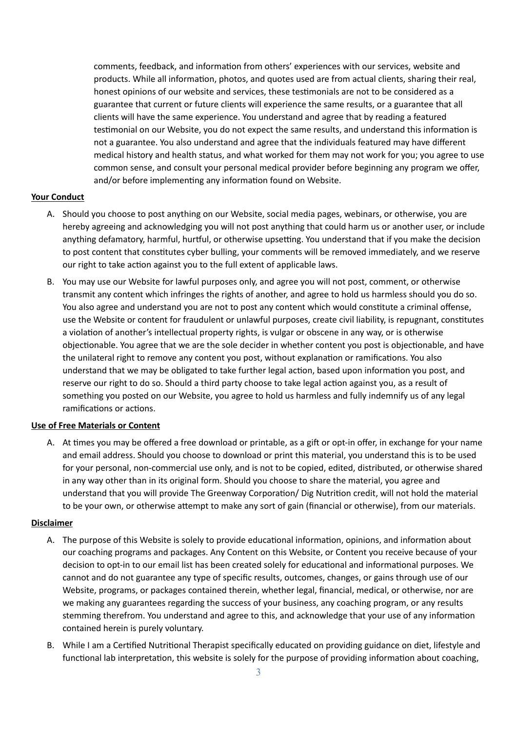comments, feedback, and information from others' experiences with our services, website and products. While all information, photos, and quotes used are from actual clients, sharing their real, honest opinions of our website and services, these testimonials are not to be considered as a guarantee that current or future clients will experience the same results, or a guarantee that all clients will have the same experience. You understand and agree that by reading a featured testimonial on our Website, you do not expect the same results, and understand this information is not a guarantee. You also understand and agree that the individuals featured may have different medical history and health status, and what worked for them may not work for you; you agree to use common sense, and consult your personal medical provider before beginning any program we offer, and/or before implementing any information found on Website.

## **Your Conduct**

- A. Should you choose to post anything on our Website, social media pages, webinars, or otherwise, you are hereby agreeing and acknowledging you will not post anything that could harm us or another user, or include anything defamatory, harmful, hurtful, or otherwise upsetting. You understand that if you make the decision to post content that constitutes cyber bulling, your comments will be removed immediately, and we reserve our right to take action against you to the full extent of applicable laws.
- B. You may use our Website for lawful purposes only, and agree you will not post, comment, or otherwise transmit any content which infringes the rights of another, and agree to hold us harmless should you do so. You also agree and understand you are not to post any content which would constitute a criminal offense, use the Website or content for fraudulent or unlawful purposes, create civil liability, is repugnant, constitutes a violation of another's intellectual property rights, is vulgar or obscene in any way, or is otherwise objectionable. You agree that we are the sole decider in whether content you post is objectionable, and have the unilateral right to remove any content you post, without explanation or ramifications. You also understand that we may be obligated to take further legal action, based upon information you post, and reserve our right to do so. Should a third party choose to take legal action against you, as a result of something you posted on our Website, you agree to hold us harmless and fully indemnify us of any legal ramifications or actions.

### **Use of Free Materials or Content**

A. At times you may be offered a free download or printable, as a gift or opt-in offer, in exchange for your name and email address. Should you choose to download or print this material, you understand this is to be used for your personal, non-commercial use only, and is not to be copied, edited, distributed, or otherwise shared in any way other than in its original form. Should you choose to share the material, you agree and understand that you will provide The Greenway Corporation/ Dig Nutrition credit, will not hold the material to be your own, or otherwise attempt to make any sort of gain (financial or otherwise), from our materials.

### **Disclaimer**

- A. The purpose of this Website is solely to provide educational information, opinions, and information about our coaching programs and packages. Any Content on this Website, or Content you receive because of your decision to opt-in to our email list has been created solely for educational and informational purposes. We cannot and do not guarantee any type of specific results, outcomes, changes, or gains through use of our Website, programs, or packages contained therein, whether legal, financial, medical, or otherwise, nor are we making any guarantees regarding the success of your business, any coaching program, or any results stemming therefrom. You understand and agree to this, and acknowledge that your use of any information contained herein is purely voluntary.
- B. While I am a Certified Nutritional Therapist specifically educated on providing guidance on diet, lifestyle and functional lab interpretation, this website is solely for the purpose of providing information about coaching,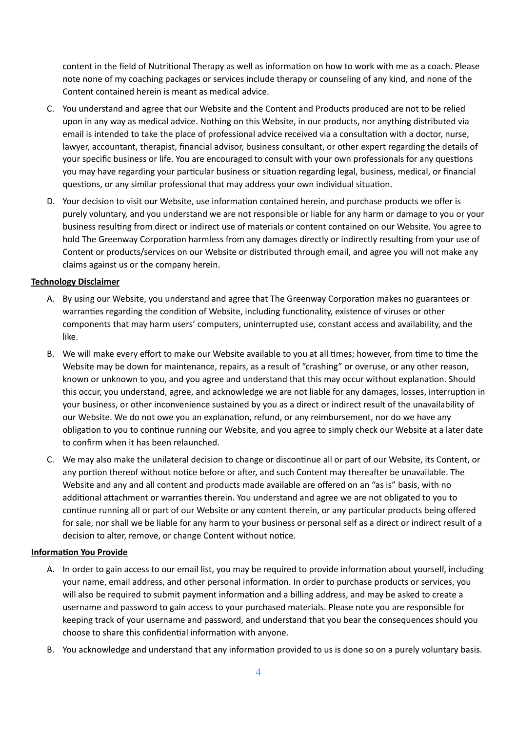content in the field of Nutritional Therapy as well as information on how to work with me as a coach. Please note none of my coaching packages or services include therapy or counseling of any kind, and none of the Content contained herein is meant as medical advice.

- C. You understand and agree that our Website and the Content and Products produced are not to be relied upon in any way as medical advice. Nothing on this Website, in our products, nor anything distributed via email is intended to take the place of professional advice received via a consultation with a doctor, nurse, lawyer, accountant, therapist, financial advisor, business consultant, or other expert regarding the details of your specific business or life. You are encouraged to consult with your own professionals for any questions you may have regarding your particular business or situation regarding legal, business, medical, or financial questions, or any similar professional that may address your own individual situation.
- D. Your decision to visit our Website, use information contained herein, and purchase products we offer is purely voluntary, and you understand we are not responsible or liable for any harm or damage to you or your business resulting from direct or indirect use of materials or content contained on our Website. You agree to hold The Greenway Corporation harmless from any damages directly or indirectly resulting from your use of Content or products/services on our Website or distributed through email, and agree you will not make any claims against us or the company herein.

### **Technology Disclaimer**

- A. By using our Website, you understand and agree that The Greenway Corporation makes no guarantees or warranties regarding the condition of Website, including functionality, existence of viruses or other components that may harm users' computers, uninterrupted use, constant access and availability, and the like.
- B. We will make every effort to make our Website available to you at all times; however, from time to time the Website may be down for maintenance, repairs, as a result of "crashing" or overuse, or any other reason, known or unknown to you, and you agree and understand that this may occur without explanation. Should this occur, you understand, agree, and acknowledge we are not liable for any damages, losses, interruption in your business, or other inconvenience sustained by you as a direct or indirect result of the unavailability of our Website. We do not owe you an explanation, refund, or any reimbursement, nor do we have any obligation to you to continue running our Website, and you agree to simply check our Website at a later date to confirm when it has been relaunched.
- C. We may also make the unilateral decision to change or discontinue all or part of our Website, its Content, or any portion thereof without notice before or after, and such Content may thereafter be unavailable. The Website and any and all content and products made available are offered on an "as is" basis, with no additional attachment or warranties therein. You understand and agree we are not obligated to you to continue running all or part of our Website or any content therein, or any particular products being offered for sale, nor shall we be liable for any harm to your business or personal self as a direct or indirect result of a decision to alter, remove, or change Content without notice.

## **Information You Provide**

- A. In order to gain access to our email list, you may be required to provide information about yourself, including your name, email address, and other personal information. In order to purchase products or services, you will also be required to submit payment information and a billing address, and may be asked to create a username and password to gain access to your purchased materials. Please note you are responsible for keeping track of your username and password, and understand that you bear the consequences should you choose to share this confidential information with anyone.
- B. You acknowledge and understand that any information provided to us is done so on a purely voluntary basis.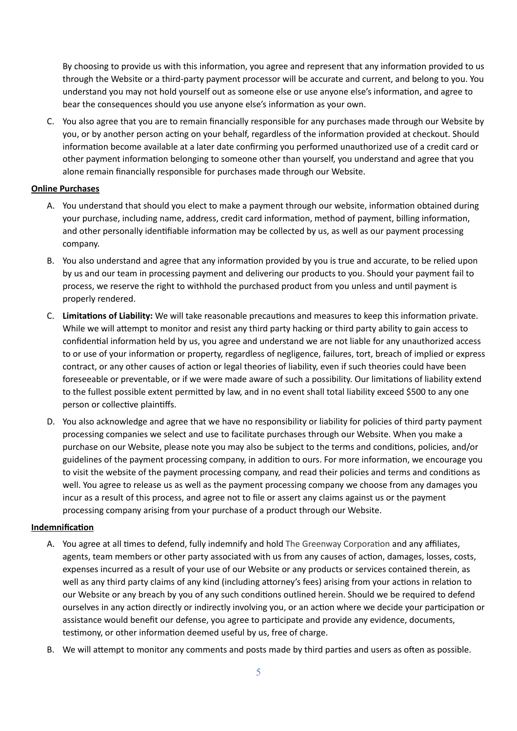By choosing to provide us with this information, you agree and represent that any information provided to us through the Website or a third-party payment processor will be accurate and current, and belong to you. You understand you may not hold yourself out as someone else or use anyone else's information, and agree to bear the consequences should you use anyone else's information as your own.

C. You also agree that you are to remain financially responsible for any purchases made through our Website by you, or by another person acting on your behalf, regardless of the information provided at checkout. Should information become available at a later date confirming you performed unauthorized use of a credit card or other payment information belonging to someone other than yourself, you understand and agree that you alone remain financially responsible for purchases made through our Website.

## **Online Purchases**

- A. You understand that should you elect to make a payment through our website, information obtained during your purchase, including name, address, credit card information, method of payment, billing information, and other personally identifiable information may be collected by us, as well as our payment processing company.
- B. You also understand and agree that any information provided by you is true and accurate, to be relied upon by us and our team in processing payment and delivering our products to you. Should your payment fail to process, we reserve the right to withhold the purchased product from you unless and until payment is properly rendered.
- C. **Limitations of Liability:** We will take reasonable precautions and measures to keep this information private. While we will attempt to monitor and resist any third party hacking or third party ability to gain access to confidential information held by us, you agree and understand we are not liable for any unauthorized access to or use of your information or property, regardless of negligence, failures, tort, breach of implied or express contract, or any other causes of action or legal theories of liability, even if such theories could have been foreseeable or preventable, or if we were made aware of such a possibility. Our limitations of liability extend to the fullest possible extent permitted by law, and in no event shall total liability exceed \$500 to any one person or collective plaintiffs.
- D. You also acknowledge and agree that we have no responsibility or liability for policies of third party payment processing companies we select and use to facilitate purchases through our Website. When you make a purchase on our Website, please note you may also be subject to the terms and conditions, policies, and/or guidelines of the payment processing company, in addition to ours. For more information, we encourage you to visit the website of the payment processing company, and read their policies and terms and conditions as well. You agree to release us as well as the payment processing company we choose from any damages you incur as a result of this process, and agree not to file or assert any claims against us or the payment processing company arising from your purchase of a product through our Website.

## **Indemnification**

- A. You agree at all times to defend, fully indemnify and hold The Greenway Corporation and any affiliates, agents, team members or other party associated with us from any causes of action, damages, losses, costs, expenses incurred as a result of your use of our Website or any products or services contained therein, as well as any third party claims of any kind (including attorney's fees) arising from your actions in relation to our Website or any breach by you of any such conditions outlined herein. Should we be required to defend ourselves in any action directly or indirectly involving you, or an action where we decide your participation or assistance would benefit our defense, you agree to participate and provide any evidence, documents, testimony, or other information deemed useful by us, free of charge.
- B. We will attempt to monitor any comments and posts made by third parties and users as often as possible.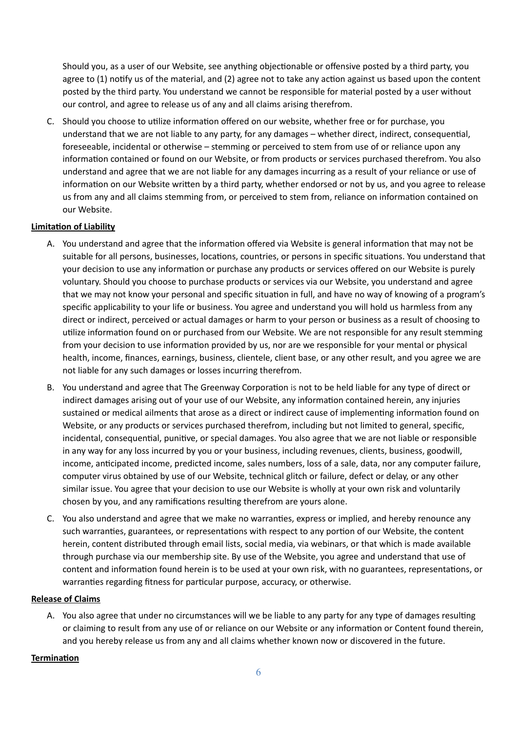Should you, as a user of our Website, see anything objectionable or offensive posted by a third party, you agree to (1) notify us of the material, and (2) agree not to take any action against us based upon the content posted by the third party. You understand we cannot be responsible for material posted by a user without our control, and agree to release us of any and all claims arising therefrom.

C. Should you choose to utilize information offered on our website, whether free or for purchase, you understand that we are not liable to any party, for any damages – whether direct, indirect, consequential, foreseeable, incidental or otherwise – stemming or perceived to stem from use of or reliance upon any information contained or found on our Website, or from products or services purchased therefrom. You also understand and agree that we are not liable for any damages incurring as a result of your reliance or use of information on our Website written by a third party, whether endorsed or not by us, and you agree to release us from any and all claims stemming from, or perceived to stem from, reliance on information contained on our Website.

# **Limitation of Liability**

- A. You understand and agree that the information offered via Website is general information that may not be suitable for all persons, businesses, locations, countries, or persons in specific situations. You understand that your decision to use any information or purchase any products or services offered on our Website is purely voluntary. Should you choose to purchase products or services via our Website, you understand and agree that we may not know your personal and specific situation in full, and have no way of knowing of a program's specific applicability to your life or business. You agree and understand you will hold us harmless from any direct or indirect, perceived or actual damages or harm to your person or business as a result of choosing to utilize information found on or purchased from our Website. We are not responsible for any result stemming from your decision to use information provided by us, nor are we responsible for your mental or physical health, income, finances, earnings, business, clientele, client base, or any other result, and you agree we are not liable for any such damages or losses incurring therefrom.
- B. You understand and agree that The Greenway Corporation is not to be held liable for any type of direct or indirect damages arising out of your use of our Website, any information contained herein, any injuries sustained or medical ailments that arose as a direct or indirect cause of implementing information found on Website, or any products or services purchased therefrom, including but not limited to general, specific, incidental, consequential, punitive, or special damages. You also agree that we are not liable or responsible in any way for any loss incurred by you or your business, including revenues, clients, business, goodwill, income, anticipated income, predicted income, sales numbers, loss of a sale, data, nor any computer failure, computer virus obtained by use of our Website, technical glitch or failure, defect or delay, or any other similar issue. You agree that your decision to use our Website is wholly at your own risk and voluntarily chosen by you, and any ramifications resulting therefrom are yours alone.
- C. You also understand and agree that we make no warranties, express or implied, and hereby renounce any such warranties, guarantees, or representations with respect to any portion of our Website, the content herein, content distributed through email lists, social media, via webinars, or that which is made available through purchase via our membership site. By use of the Website, you agree and understand that use of content and information found herein is to be used at your own risk, with no guarantees, representations, or warranties regarding fitness for particular purpose, accuracy, or otherwise.

## **Release of Claims**

A. You also agree that under no circumstances will we be liable to any party for any type of damages resulting or claiming to result from any use of or reliance on our Website or any information or Content found therein, and you hereby release us from any and all claims whether known now or discovered in the future.

## **Termination**